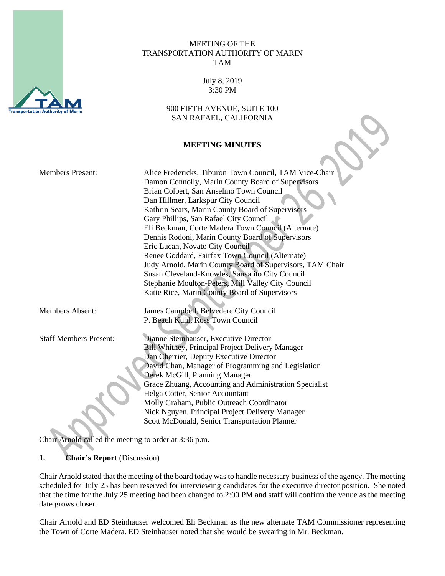

## MEETING OF THE TRANSPORTATION AUTHORITY OF MARIN TAM

July 8, 2019 3:30 PM

900 FIFTH AVENUE, SUITE 100 SAN RAFAEL, CALIFORNIA

## **MEETING MINUTES**

| <b>Members Present:</b>       | Alice Fredericks, Tiburon Town Council, TAM Vice-Chair    |
|-------------------------------|-----------------------------------------------------------|
|                               | Damon Connolly, Marin County Board of Supervisors         |
|                               | Brian Colbert, San Anselmo Town Council                   |
|                               | Dan Hillmer, Larkspur City Council                        |
|                               | Kathrin Sears, Marin County Board of Supervisors          |
|                               | Gary Phillips, San Rafael City Council                    |
|                               | Eli Beckman, Corte Madera Town Council (Alternate)        |
|                               | Dennis Rodoni, Marin County Board of Supervisors          |
|                               | Eric Lucan, Novato City Council                           |
|                               | Renee Goddard, Fairfax Town Council (Alternate)           |
|                               | Judy Arnold, Marin County Board of Supervisors, TAM Chair |
|                               | Susan Cleveland-Knowles, Sausalito City Council           |
|                               | Stephanie Moulton-Peters, Mill Valley City Council        |
|                               | Katie Rice, Marin County Board of Supervisors             |
|                               |                                                           |
| <b>Members Absent:</b>        | James Campbell, Belvedere City Council                    |
|                               | P. Beach Kuhl, Ross Town Council                          |
|                               |                                                           |
| <b>Staff Members Present:</b> | Dianne Steinhauser, Executive Director                    |
|                               | <b>Bill Whitney, Principal Project Delivery Manager</b>   |
|                               | Dan Cherrier, Deputy Executive Director                   |
|                               | David Chan, Manager of Programming and Legislation        |
|                               | Derek McGill, Planning Manager                            |
|                               | Grace Zhuang, Accounting and Administration Specialist    |
|                               | Helga Cotter, Senior Accountant                           |
|                               | Molly Graham, Public Outreach Coordinator                 |
|                               | Nick Nguyen, Principal Project Delivery Manager           |
|                               | Scott McDonald, Senior Transportation Planner             |

Chair Arnold called the meeting to order at 3:36 p.m.

# **1. Chair's Report** (Discussion)

Chair Arnold stated that the meeting of the board today was to handle necessary business of the agency. The meeting scheduled for July 25 has been reserved for interviewing candidates for the executive director position. She noted that the time for the July 25 meeting had been changed to 2:00 PM and staff will confirm the venue as the meeting date grows closer.

Chair Arnold and ED Steinhauser welcomed Eli Beckman as the new alternate TAM Commissioner representing the Town of Corte Madera. ED Steinhauser noted that she would be swearing in Mr. Beckman.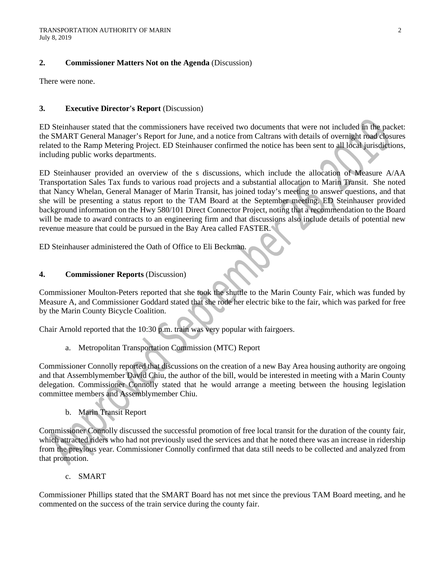## **2. Commissioner Matters Not on the Agenda** (Discussion)

There were none.

## **3. Executive Director's Report** (Discussion)

ED Steinhauser stated that the commissioners have received two documents that were not included in the packet: the SMART General Manager's Report for June, and a notice from Caltrans with details of overnight road closures related to the Ramp Metering Project. ED Steinhauser confirmed the notice has been sent to all local jurisdictions, including public works departments.

ED Steinhauser provided an overview of the s discussions, which include the allocation of Measure A/AA Transportation Sales Tax funds to various road projects and a substantial allocation to Marin Transit. She noted that Nancy Whelan, General Manager of Marin Transit, has joined today's meeting to answer questions, and that she will be presenting a status report to the TAM Board at the September meeting. ED Steinhauser provided background information on the Hwy 580/101 Direct Connector Project, noting that a recommendation to the Board will be made to award contracts to an engineering firm and that discussions also include details of potential new revenue measure that could be pursued in the Bay Area called FASTER.

ED Steinhauser administered the Oath of Office to Eli Beckman.

## **4. Commissioner Reports** (Discussion)

Commissioner Moulton-Peters reported that she took the shuttle to the Marin County Fair, which was funded by Measure A, and Commissioner Goddard stated that she rode her electric bike to the fair, which was parked for free by the Marin County Bicycle Coalition.

Chair Arnold reported that the 10:30 p.m. train was very popular with fairgoers.

a. Metropolitan Transportation Commission (MTC) Report

Commissioner Connolly reported that discussions on the creation of a new Bay Area housing authority are ongoing and that Assemblymember David Chiu, the author of the bill, would be interested in meeting with a Marin County delegation. Commissioner Connolly stated that he would arrange a meeting between the housing legislation committee members and Assemblymember Chiu.

b. Marin Transit Report

Commissioner Connolly discussed the successful promotion of free local transit for the duration of the county fair, which attracted riders who had not previously used the services and that he noted there was an increase in ridership from the previous year. Commissioner Connolly confirmed that data still needs to be collected and analyzed from that promotion.

c. SMART

Commissioner Phillips stated that the SMART Board has not met since the previous TAM Board meeting, and he commented on the success of the train service during the county fair.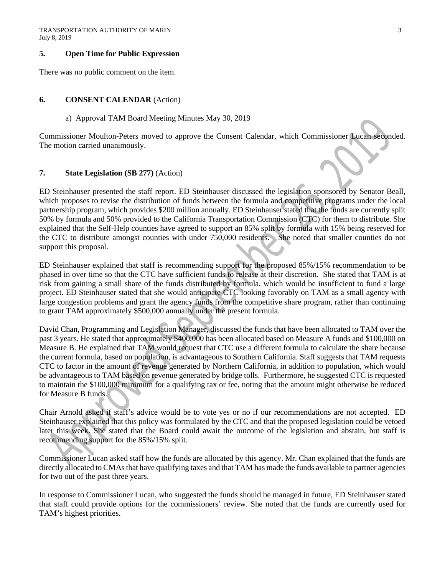### **5. Open Time for Public Expression**

There was no public comment on the item.

#### **6. CONSENT CALENDAR** (Action)

#### a) Approval TAM Board Meeting Minutes May 30, 2019

Commissioner Moulton-Peters moved to approve the Consent Calendar, which Commissioner Lucan seconded. The motion carried unanimously.

## **7. State Legislation (SB 277)** (Action)

ED Steinhauser presented the staff report. ED Steinhauser discussed the legislation sponsored by Senator Beall, which proposes to revise the distribution of funds between the formula and competitive programs under the local partnership program, which provides \$200 million annually. ED Steinhauser stated that the funds are currently split 50% by formula and 50% provided to the California Transportation Commission (CTC) for them to distribute. She explained that the Self-Help counties have agreed to support an 85% split by formula with 15% being reserved for the CTC to distribute amongst counties with under 750,000 residents. She noted that smaller counties do not support this proposal.

ED Steinhauser explained that staff is recommending support for the proposed 85%/15% recommendation to be phased in over time so that the CTC have sufficient funds to release at their discretion. She stated that TAM is at risk from gaining a small share of the funds distributed by formula, which would be insufficient to fund a large project. ED Steinhauser stated that she would anticipate CTC looking favorably on TAM as a small agency with large congestion problems and grant the agency funds from the competitive share program, rather than continuing to grant TAM approximately \$500,000 annually under the present formula.

David Chan, Programming and Legislation Manager, discussed the funds that have been allocated to TAM over the past 3 years. He stated that approximately \$400,000 has been allocated based on Measure A funds and \$100,000 on Measure B. He explained that TAM would request that CTC use a different formula to calculate the share because the current formula, based on population, is advantageous to Southern California. Staff suggests that TAM requests CTC to factor in the amount of revenue generated by Northern California, in addition to population, which would be advantageous to TAM based on revenue generated by bridge tolls. Furthermore, he suggested CTC is requested to maintain the \$100,000 minimum for a qualifying tax or fee, noting that the amount might otherwise be reduced for Measure B funds.

Chair Arnold asked if staff's advice would be to vote yes or no if our recommendations are not accepted. ED Steinhauser explained that this policy was formulated by the CTC and that the proposed legislation could be vetoed later this week. She stated that the Board could await the outcome of the legislation and abstain, but staff is recommending support for the 85%/15% split.

Commissioner Lucan asked staff how the funds are allocated by this agency. Mr. Chan explained that the funds are directly allocated to CMAs that have qualifying taxes and that TAM has made the funds available to partner agencies for two out of the past three years.

In response to Commissioner Lucan, who suggested the funds should be managed in future, ED Steinhauser stated that staff could provide options for the commissioners' review. She noted that the funds are currently used for TAM's highest priorities.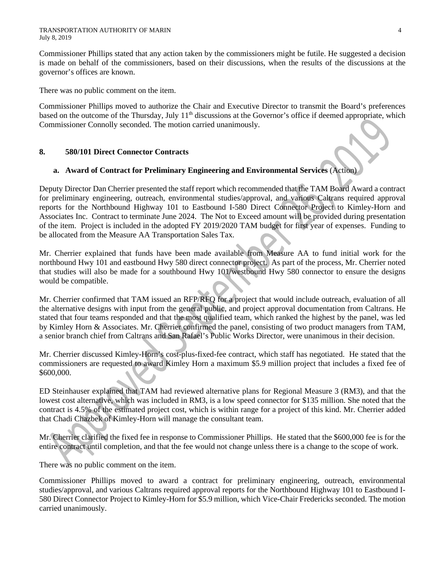Commissioner Phillips stated that any action taken by the commissioners might be futile. He suggested a decision is made on behalf of the commissioners, based on their discussions, when the results of the discussions at the governor's offices are known.

There was no public comment on the item.

Commissioner Phillips moved to authorize the Chair and Executive Director to transmit the Board's preferences based on the outcome of the Thursday, July 11<sup>th</sup> discussions at the Governor's office if deemed appropriate, which Commissioner Connolly seconded. The motion carried unanimously.

# **8. 580/101 Direct Connector Contracts**

# **a. Award of Contract for Preliminary Engineering and Environmental Services** (Action)

Deputy Director Dan Cherrier presented the staff report which recommended that the TAM Board Award a contract for preliminary engineering, outreach, environmental studies/approval, and various Caltrans required approval reports for the Northbound Highway 101 to Eastbound I-580 Direct Connector Project to Kimley-Horn and Associates Inc. Contract to terminate June 2024. The Not to Exceed amount will be provided during presentation of the item. Project is included in the adopted FY 2019/2020 TAM budget for first year of expenses. Funding to be allocated from the Measure AA Transportation Sales Tax.

Mr. Cherrier explained that funds have been made available from Measure AA to fund initial work for the northbound Hwy 101 and eastbound Hwy 580 direct connector project. As part of the process, Mr. Cherrier noted that studies will also be made for a southbound Hwy 101/westbound Hwy 580 connector to ensure the designs would be compatible.

Mr. Cherrier confirmed that TAM issued an RFP/RFQ for a project that would include outreach, evaluation of all the alternative designs with input from the general public, and project approval documentation from Caltrans. He stated that four teams responded and that the most qualified team, which ranked the highest by the panel, was led by Kimley Horn & Associates. Mr. Cherrier confirmed the panel, consisting of two product managers from TAM, a senior branch chief from Caltrans and San Rafael's Public Works Director, were unanimous in their decision.

Mr. Cherrier discussed Kimley-Horn's cost-plus-fixed-fee contract, which staff has negotiated. He stated that the commissioners are requested to award Kimley Horn a maximum \$5.9 million project that includes a fixed fee of \$600,000.

ED Steinhauser explained that TAM had reviewed alternative plans for Regional Measure 3 (RM3), and that the lowest cost alternative, which was included in RM3, is a low speed connector for \$135 million. She noted that the contract is 4.5% of the estimated project cost, which is within range for a project of this kind. Mr. Cherrier added that Chadi Chazbek of Kimley-Horn will manage the consultant team.

Mr. Cherrier clarified the fixed fee in response to Commissioner Phillips. He stated that the \$600,000 fee is for the entire contract until completion, and that the fee would not change unless there is a change to the scope of work.

There was no public comment on the item.

Commissioner Phillips moved to award a contract for preliminary engineering, outreach, environmental studies/approval, and various Caltrans required approval reports for the Northbound Highway 101 to Eastbound I-580 Direct Connector Project to Kimley-Horn for \$5.9 million, which Vice-Chair Fredericks seconded. The motion carried unanimously.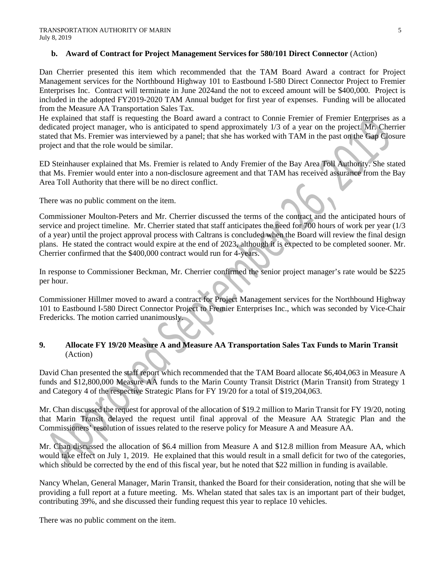### **b. Award of Contract for Project Management Services for 580/101 Direct Connector** (Action)

Dan Cherrier presented this item which recommended that the TAM Board Award a contract for Project Management services for the Northbound Highway 101 to Eastbound I-580 Direct Connector Project to Fremier Enterprises Inc. Contract will terminate in June 2024and the not to exceed amount will be \$400,000. Project is included in the adopted FY2019-2020 TAM Annual budget for first year of expenses. Funding will be allocated from the Measure AA Transportation Sales Tax.

He explained that staff is requesting the Board award a contract to Connie Fremier of Fremier Enterprises as a dedicated project manager, who is anticipated to spend approximately 1/3 of a year on the project. Mr. Cherrier stated that Ms. Fremier was interviewed by a panel; that she has worked with TAM in the past on the Gap Closure project and that the role would be similar.

ED Steinhauser explained that Ms. Fremier is related to Andy Fremier of the Bay Area Toll Authority. She stated that Ms. Fremier would enter into a non-disclosure agreement and that TAM has received assurance from the Bay Area Toll Authority that there will be no direct conflict.

There was no public comment on the item.

Commissioner Moulton-Peters and Mr. Cherrier discussed the terms of the contract and the anticipated hours of service and project timeline. Mr. Cherrier stated that staff anticipates the need for 700 hours of work per year (1/3 of a year) until the project approval process with Caltrans is concluded when the Board will review the final design plans. He stated the contract would expire at the end of 2023, although it is expected to be completed sooner. Mr. Cherrier confirmed that the \$400,000 contract would run for 4-years.

In response to Commissioner Beckman, Mr. Cherrier confirmed the senior project manager's rate would be \$225 per hour.

Commissioner Hillmer moved to award a contract for Project Management services for the Northbound Highway 101 to Eastbound I-580 Direct Connector Project to Fremier Enterprises Inc., which was seconded by Vice-Chair Fredericks. The motion carried unanimously.

## **9. Allocate FY 19/20 Measure A and Measure AA Transportation Sales Tax Funds to Marin Transit**  (Action)

David Chan presented the staff report which recommended that the TAM Board allocate \$6,404,063 in Measure A funds and \$12,800,000 Measure AA funds to the Marin County Transit District (Marin Transit) from Strategy 1 and Category 4 of the respective Strategic Plans for FY 19/20 for a total of \$19,204,063.

Mr. Chan discussed the request for approval of the allocation of \$19.2 million to Marin Transit for FY 19/20, noting that Marin Transit delayed the request until final approval of the Measure AA Strategic Plan and the Commissioners' resolution of issues related to the reserve policy for Measure A and Measure AA.

Mr. Chan discussed the allocation of \$6.4 million from Measure A and \$12.8 million from Measure AA, which would take effect on July 1, 2019. He explained that this would result in a small deficit for two of the categories, which should be corrected by the end of this fiscal year, but he noted that \$22 million in funding is available.

Nancy Whelan, General Manager, Marin Transit, thanked the Board for their consideration, noting that she will be providing a full report at a future meeting. Ms. Whelan stated that sales tax is an important part of their budget, contributing 39%, and she discussed their funding request this year to replace 10 vehicles.

There was no public comment on the item.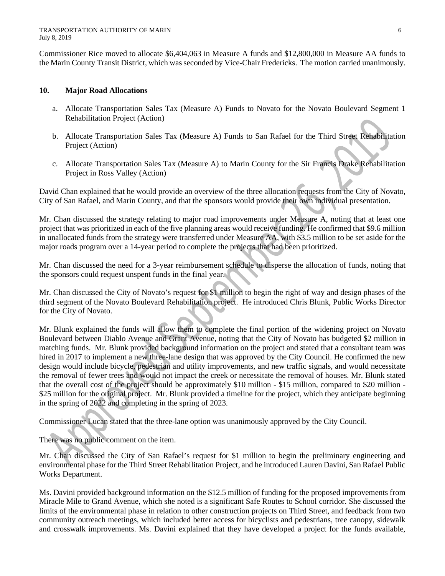Commissioner Rice moved to allocate \$6,404,063 in Measure A funds and \$12,800,000 in Measure AA funds to the Marin County Transit District, which was seconded by Vice-Chair Fredericks. The motion carried unanimously.

## **10. Major Road Allocations**

- a. Allocate Transportation Sales Tax (Measure A) Funds to Novato for the Novato Boulevard Segment 1 Rehabilitation Project (Action)
- b. Allocate Transportation Sales Tax (Measure A) Funds to San Rafael for the Third Street Rehabilitation Project (Action)
- c. Allocate Transportation Sales Tax (Measure A) to Marin County for the Sir Francis Drake Rehabilitation Project in Ross Valley (Action)

David Chan explained that he would provide an overview of the three allocation requests from the City of Novato, City of San Rafael, and Marin County, and that the sponsors would provide their own individual presentation.

Mr. Chan discussed the strategy relating to major road improvements under Measure A, noting that at least one project that was prioritized in each of the five planning areas would receive funding. He confirmed that \$9.6 million in unallocated funds from the strategy were transferred under Measure AA, with \$3.5 million to be set aside for the major roads program over a 14-year period to complete the projects that had been prioritized.

Mr. Chan discussed the need for a 3-year reimbursement schedule to disperse the allocation of funds, noting that the sponsors could request unspent funds in the final year.

Mr. Chan discussed the City of Novato's request for \$1 million to begin the right of way and design phases of the third segment of the Novato Boulevard Rehabilitation project. He introduced Chris Blunk, Public Works Director for the City of Novato.

Mr. Blunk explained the funds will allow them to complete the final portion of the widening project on Novato Boulevard between Diablo Avenue and Grant Avenue, noting that the City of Novato has budgeted \$2 million in matching funds. Mr. Blunk provided background information on the project and stated that a consultant team was hired in 2017 to implement a new three-lane design that was approved by the City Council. He confirmed the new design would include bicycle, pedestrian and utility improvements, and new traffic signals, and would necessitate the removal of fewer trees and would not impact the creek or necessitate the removal of houses. Mr. Blunk stated that the overall cost of the project should be approximately \$10 million - \$15 million, compared to \$20 million - \$25 million for the original project. Mr. Blunk provided a timeline for the project, which they anticipate beginning in the spring of 2022 and completing in the spring of 2023.

Commissioner Lucan stated that the three-lane option was unanimously approved by the City Council.

There was no public comment on the item.

Mr. Chan discussed the City of San Rafael's request for \$1 million to begin the preliminary engineering and environmental phase for the Third Street Rehabilitation Project, and he introduced Lauren Davini, San Rafael Public Works Department.

Ms. Davini provided background information on the \$12.5 million of funding for the proposed improvements from Miracle Mile to Grand Avenue, which she noted is a significant Safe Routes to School corridor. She discussed the limits of the environmental phase in relation to other construction projects on Third Street, and feedback from two community outreach meetings, which included better access for bicyclists and pedestrians, tree canopy, sidewalk and crosswalk improvements. Ms. Davini explained that they have developed a project for the funds available,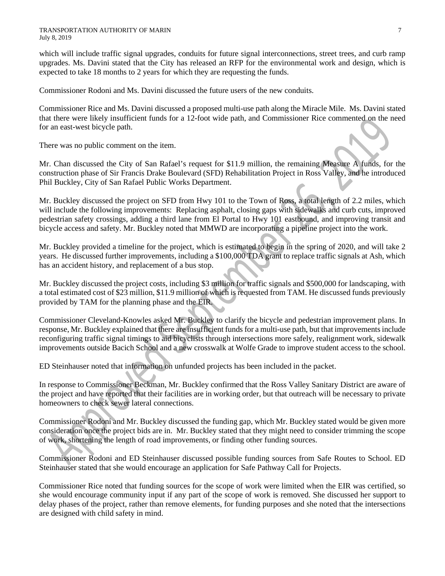which will include traffic signal upgrades, conduits for future signal interconnections, street trees, and curb ramp upgrades. Ms. Davini stated that the City has released an RFP for the environmental work and design, which is expected to take 18 months to 2 years for which they are requesting the funds.

Commissioner Rodoni and Ms. Davini discussed the future users of the new conduits.

Commissioner Rice and Ms. Davini discussed a proposed multi-use path along the Miracle Mile. Ms. Davini stated that there were likely insufficient funds for a 12-foot wide path, and Commissioner Rice commented on the need for an east-west bicycle path.

There was no public comment on the item.

Mr. Chan discussed the City of San Rafael's request for \$11.9 million, the remaining Measure A funds, for the construction phase of Sir Francis Drake Boulevard (SFD) Rehabilitation Project in Ross Valley, and he introduced Phil Buckley, City of San Rafael Public Works Department.

Mr. Buckley discussed the project on SFD from Hwy 101 to the Town of Ross, a total length of 2.2 miles, which will include the following improvements: Replacing asphalt, closing gaps with sidewalks and curb cuts, improved pedestrian safety crossings, adding a third lane from El Portal to Hwy 101 eastbound, and improving transit and bicycle access and safety. Mr. Buckley noted that MMWD are incorporating a pipeline project into the work.

Mr. Buckley provided a timeline for the project, which is estimated to begin in the spring of 2020, and will take 2 years. He discussed further improvements, including a \$100,000 TDA grant to replace traffic signals at Ash, which has an accident history, and replacement of a bus stop.

Mr. Buckley discussed the project costs, including \$3 million for traffic signals and \$500,000 for landscaping, with a total estimated cost of \$23 million, \$11.9 million of which is requested from TAM. He discussed funds previously provided by TAM for the planning phase and the EIR.

Commissioner Cleveland-Knowles asked Mr. Buckley to clarify the bicycle and pedestrian improvement plans. In response, Mr. Buckley explained that there are insufficient funds for a multi-use path, but that improvements include reconfiguring traffic signal timings to aid bicyclists through intersections more safely, realignment work, sidewalk improvements outside Bacich School and a new crosswalk at Wolfe Grade to improve student access to the school.

ED Steinhauser noted that information on unfunded projects has been included in the packet.

In response to Commissioner Beckman, Mr. Buckley confirmed that the Ross Valley Sanitary District are aware of the project and have reported that their facilities are in working order, but that outreach will be necessary to private homeowners to check sewer lateral connections.

Commissioner Rodoni and Mr. Buckley discussed the funding gap, which Mr. Buckley stated would be given more consideration once the project bids are in. Mr. Buckley stated that they might need to consider trimming the scope of work, shortening the length of road improvements, or finding other funding sources.

Commissioner Rodoni and ED Steinhauser discussed possible funding sources from Safe Routes to School. ED Steinhauser stated that she would encourage an application for Safe Pathway Call for Projects.

Commissioner Rice noted that funding sources for the scope of work were limited when the EIR was certified, so she would encourage community input if any part of the scope of work is removed. She discussed her support to delay phases of the project, rather than remove elements, for funding purposes and she noted that the intersections are designed with child safety in mind.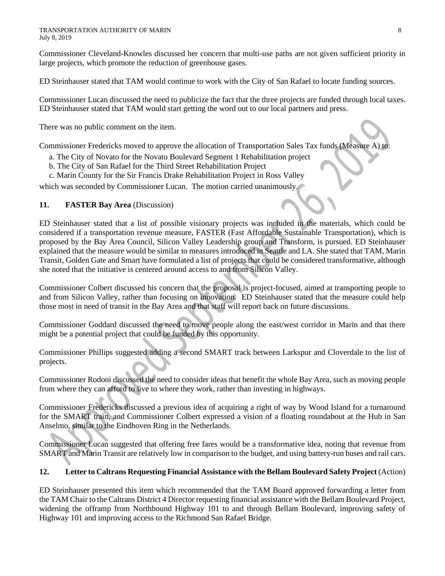Commissioner Cleveland-Knowles discussed her concern that multi-use paths are not given sufficient priority in large projects, which promote the reduction of greenhouse gases.

ED Steinhauser stated that TAM would continue to work with the City of San Rafael to locate funding sources.

Commissioner Lucan discussed the need to publicize the fact that the three projects are funded through local taxes. ED Steinhauser stated that TAM would start getting the word out to our local partners and press.

There was no public comment on the item.

Commissioner Fredericks moved to approve the allocation of Transportation Sales Tax funds (Measure A) to:

- a. The City of Novato for the Novato Boulevard Segment 1 Rehabilitation project
- b. The City of San Rafael for the Third Street Rehabilitation Project
- c. Marin County for the Sir Francis Drake Rehabilitation Project in Ross Valley

which was seconded by Commissioner Lucan. The motion carried unanimously.

## **11. FASTER Bay Area** (Discussion)

ED Steinhauser stated that a list of possible visionary projects was included in the materials, which could be considered if a transportation revenue measure, FASTER (Fast Affordable Sustainable Transportation), which is proposed by the Bay Area Council, Silicon Valley Leadership group and Transform, is pursued. ED Steinhauser explained that the measure would be similar to measures introduced in Seattle and LA. She stated that TAM, Marin Transit, Golden Gate and Smart have formulated a list of projects that could be considered transformative, although she noted that the initiative is centered around access to and from Silicon Valley.

Commissioner Colbert discussed his concern that the proposal is project-focused, aimed at transporting people to and from Silicon Valley, rather than focusing on innovation. ED Steinhauser stated that the measure could help those most in need of transit in the Bay Area and that staff will report back on future discussions.

Commissioner Goddard discussed the need to move people along the east/west corridor in Marin and that there might be a potential project that could be funded by this opportunity.

Commissioner Phillips suggested adding a second SMART track between Larkspur and Cloverdale to the list of projects.

Commissioner Rodoni discussed the need to consider ideas that benefit the whole Bay Area, such as moving people from where they can afford to live to where they work, rather than investing in highways.

Commissioner Fredericks discussed a previous idea of acquiring a right of way by Wood Island for a turnaround for the SMART train, and Commissioner Colbert expressed a vision of a floating roundabout at the Hub in San Anselmo, similar to the Eindhoven Ring in the Netherlands.

Commissioner Lucan suggested that offering free fares would be a transformative idea, noting that revenue from SMART and Marin Transit are relatively low in comparison to the budget, and using battery-run buses and rail cars.

# **12. Letter to Caltrans Requesting Financial Assistance with the Bellam Boulevard Safety Project** (Action)

ED Steinhauser presented this item which recommended that the TAM Board approved forwarding a letter from the TAM Chair to the Caltrans District 4 Director requesting financial assistance with the Bellam Boulevard Project, widening the offramp from Northbound Highway 101 to and through Bellam Boulevard, improving safety of Highway 101 and improving access to the Richmond San Rafael Bridge.